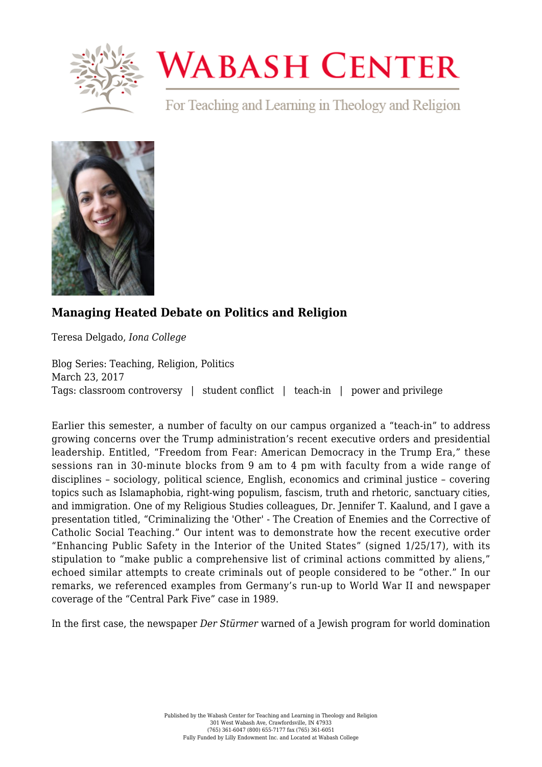

## **WABASH CENTER**

For Teaching and Learning in Theology and Religion



## **[Managing Heated Debate on Politics and Religion](https://www.wabashcenter.wabash.edu/2017/03/managing-heated-debate-on-politics-and-religion/)**

Teresa Delgado, *Iona College*

Blog Series: Teaching, Religion, Politics March 23, 2017 Tags: classroom controversy | student conflict | teach-in | power and privilege

Earlier this semester, a number of faculty on our campus organized a "teach-in" to address growing concerns over the Trump administration's recent executive orders and presidential leadership. Entitled, "Freedom from Fear: American Democracy in the Trump Era," these sessions ran in 30-minute blocks from 9 am to 4 pm with faculty from a wide range of disciplines – sociology, political science, English, economics and criminal justice – covering topics such as Islamaphobia, right-wing populism, fascism, truth and rhetoric, sanctuary cities, and immigration. One of my Religious Studies colleagues, Dr. Jennifer T. Kaalund, and I gave a presentation titled, "Criminalizing the 'Other' - The Creation of Enemies and the Corrective of Catholic Social Teaching." Our intent was to demonstrate how the recent executive order "Enhancing Public Safety in the Interior of the United States" (signed 1/25/17), with its stipulation to "make public a comprehensive list of criminal actions committed by aliens," echoed similar attempts to create criminals out of people considered to be "other." In our remarks, we referenced examples from Germany's run-up to World War II and newspaper coverage of the "Central Park Five" case in 1989.

In the first case, the newspaper *Der Stürmer* warned of a Jewish program for world domination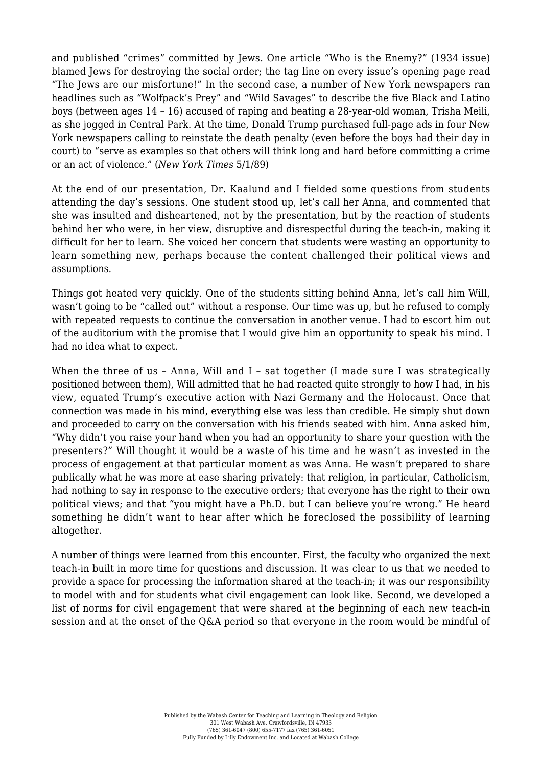and published "crimes" committed by Jews. One article "Who is the Enemy?" (1934 issue) blamed Jews for destroying the social order; the tag line on every issue's opening page read "The Jews are our misfortune!" In the second case, a number of New York newspapers ran headlines such as "Wolfpack's Prey" and "Wild Savages" to describe the five Black and Latino boys (between ages 14 – 16) accused of raping and beating a 28-year-old woman, Trisha Meili, as she jogged in Central Park. At the time, Donald Trump purchased full-page ads in four New York newspapers calling to reinstate the death penalty (even before the boys had their day in court) to "serve as examples so that others will think long and hard before committing a crime or an act of violence." (*New York Times* 5/1/89)

At the end of our presentation, Dr. Kaalund and I fielded some questions from students attending the day's sessions. One student stood up, let's call her Anna, and commented that she was insulted and disheartened, not by the presentation, but by the reaction of students behind her who were, in her view, disruptive and disrespectful during the teach-in, making it difficult for her to learn. She voiced her concern that students were wasting an opportunity to learn something new, perhaps because the content challenged their political views and assumptions.

Things got heated very quickly. One of the students sitting behind Anna, let's call him Will, wasn't going to be "called out" without a response. Our time was up, but he refused to comply with repeated requests to continue the conversation in another venue. I had to escort him out of the auditorium with the promise that I would give him an opportunity to speak his mind. I had no idea what to expect.

When the three of us - Anna, Will and I - sat together (I made sure I was strategically positioned between them), Will admitted that he had reacted quite strongly to how I had, in his view, equated Trump's executive action with Nazi Germany and the Holocaust. Once that connection was made in his mind, everything else was less than credible. He simply shut down and proceeded to carry on the conversation with his friends seated with him. Anna asked him, "Why didn't you raise your hand when you had an opportunity to share your question with the presenters?" Will thought it would be a waste of his time and he wasn't as invested in the process of engagement at that particular moment as was Anna. He wasn't prepared to share publically what he was more at ease sharing privately: that religion, in particular, Catholicism, had nothing to say in response to the executive orders; that everyone has the right to their own political views; and that "you might have a Ph.D. but I can believe you're wrong." He heard something he didn't want to hear after which he foreclosed the possibility of learning altogether.

A number of things were learned from this encounter. First, the faculty who organized the next teach-in built in more time for questions and discussion. It was clear to us that we needed to provide a space for processing the information shared at the teach-in; it was our responsibility to model with and for students what civil engagement can look like. Second, we developed a list of norms for civil engagement that were shared at the beginning of each new teach-in session and at the onset of the Q&A period so that everyone in the room would be mindful of